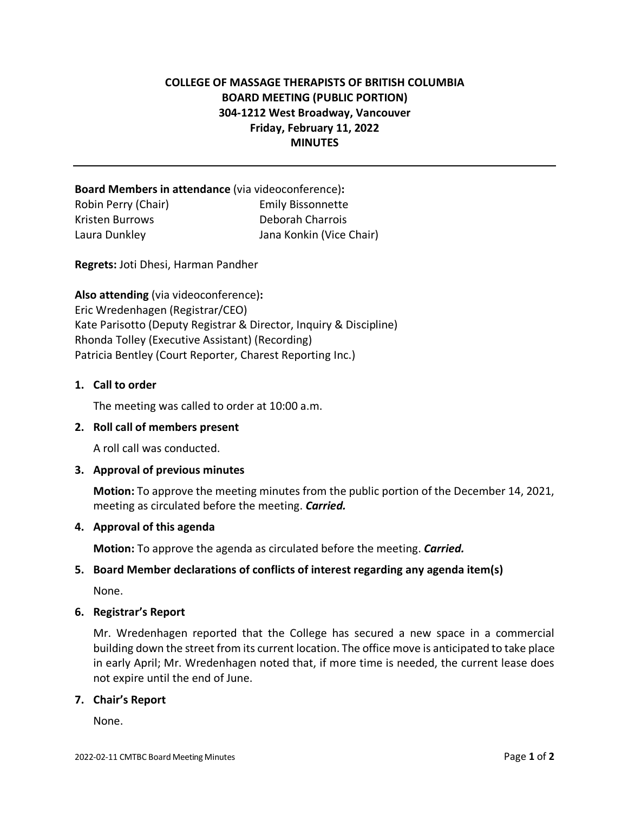# **COLLEGE OF MASSAGE THERAPISTS OF BRITISH COLUMBIA BOARD MEETING (PUBLIC PORTION) 304-1212 West Broadway, Vancouver Friday, February 11, 2022 MINUTES**

**Board Members in attendance** (via videoconference)**:**  Robin Perry (Chair) Emily Bissonnette Kristen Burrows Deborah Charrois Laura Dunkley Jana Konkin (Vice Chair)

**Regrets:** Joti Dhesi, Harman Pandher

**Also attending** (via videoconference)**:** Eric Wredenhagen (Registrar/CEO) Kate Parisotto (Deputy Registrar & Director, Inquiry & Discipline) Rhonda Tolley (Executive Assistant) (Recording) Patricia Bentley (Court Reporter, Charest Reporting Inc.)

#### **1. Call to order**

The meeting was called to order at 10:00 a.m.

#### **2. Roll call of members present**

A roll call was conducted.

#### **3. Approval of previous minutes**

**Motion:** To approve the meeting minutes from the public portion of the December 14, 2021, meeting as circulated before the meeting. *Carried.*

# **4. Approval of this agenda**

**Motion:** To approve the agenda as circulated before the meeting. *Carried.*

# **5. Board Member declarations of conflicts of interest regarding any agenda item(s)**

None.

#### **6. Registrar's Report**

Mr. Wredenhagen reported that the College has secured a new space in a commercial building down the street from its current location. The office move is anticipated to take place in early April; Mr. Wredenhagen noted that, if more time is needed, the current lease does not expire until the end of June.

#### **7. Chair's Report**

None.